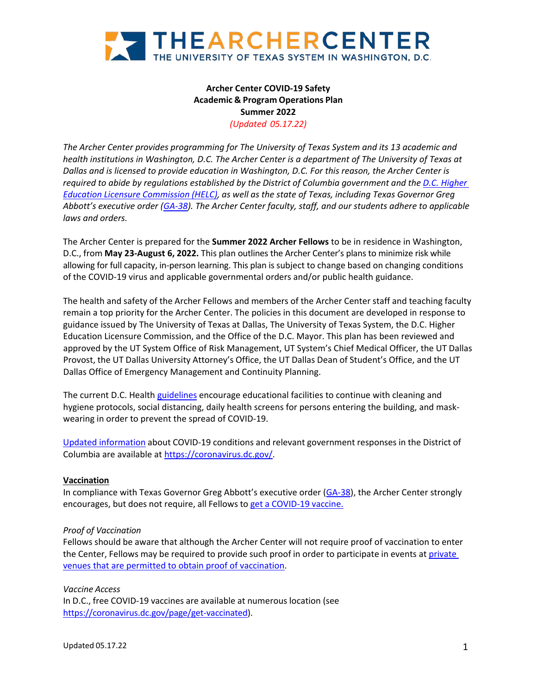

# **Archer Center COVID-19 Safety Academic & Program Operations Plan Summer 2022** *(Updated 05.17.22)*

*The Archer Center provides programming for The University of Texas System and its 13 academic and health institutions in Washington, D.C. The Archer Center is a department of The University of Texas at Dallas and is licensed to provide education in Washington, D.C. For this reason, the Archer Center is required to abide by regulations established by the District of Columbia government and the [D.C. Higher](https://helc.osse.dc.gov/) Education Licensure [Commission](https://helc.osse.dc.gov/) (HELC), as well as the state of Texas, including Texas Governor Greg Abbott's executive order [\(GA-38\)](https://nam02.safelinks.protection.outlook.com/?url=https%3A%2F%2Fgov.texas.gov%2Fuploads%2Ffiles%2Fpress%2FEO-GA-38_continued_response_to_the_COVID-19_disaster_IMAGE_07-29-2021.pdf&data=04%7C01%7Cmlc140530%40utdallas.edu%7C0fbfbbc494584aaf1f7f08d960eef71d%7C8d281d1d9c4d4bf7b16e032d15de9f6c%7C0%7C0%7C637647401743004421%7CUnknown%7CTWFpbGZsb3d8eyJWIjoiMC4wLjAwMDAiLCJQIjoiV2luMzIiLCJBTiI6Ik1haWwiLCJXVCI6Mn0%3D%7C3000&sdata=ZD8bOV85CkqkvThkrf0LCZAzHrYFcqYEka6fd4ckxII%3D&reserved=0). The Archer Center faculty, staff, and our students adhere to applicable laws and orders.*

The Archer Center is prepared for the **Summer 2022 Archer Fellows** to be in residence in Washington, D.C., from **May 23-August 6, 2022.** This plan outlines the Archer Center's plans to minimize risk while allowing for full capacity, in-person learning. This plan is subject to change based on changing conditions of the COVID-19 virus and applicable governmental orders and/or public health guidance.

The health and safety of the Archer Fellows and members of the Archer Center staff and teaching faculty remain a top priority for the Archer Center. The policies in this document are developed in response to guidance issued by The University of Texas at Dallas, The University of Texas System, the D.C. Higher Education Licensure Commission, and the Office of the D.C. Mayor. This plan has been reviewed and approved by the UT System Office of Risk Management, UT System's Chief Medical Officer, the UT Dallas Provost, the UT Dallas University Attorney's Office, the UT Dallas Dean of Student's Office, and the UT Dallas Office of Emergency Management and Continuity Planning.

The current D.C. Health [guidelines](https://coronavirus.dc.gov/sites/default/files/dc/sites/coronavirus/page_content/attachments/COVID-19_DC_Health_Guidance_for_Educational_Facilities_03.25.22.pdf) encourage educational facilities to continue with cleaning and hygiene protocols, social distancing, daily health screens for persons entering the building, and maskwearing in order to prevent the spread of COVID-19.

Updated [information](https://coronavirus.dc.gov/) about COVID-19 conditions and relevant government responses in the District of Columbia are available at [https://coronavirus.dc.gov/.](https://coronavirus.dc.gov/)

## **Vaccination**

In compliance with Texas Governor Greg Abbott's executive order [\(GA-38\)](https://nam02.safelinks.protection.outlook.com/?url=https%3A%2F%2Fgov.texas.gov%2Fuploads%2Ffiles%2Fpress%2FEO-GA-38_continued_response_to_the_COVID-19_disaster_IMAGE_07-29-2021.pdf&data=04%7C01%7Cmlc140530%40utdallas.edu%7C0fbfbbc494584aaf1f7f08d960eef71d%7C8d281d1d9c4d4bf7b16e032d15de9f6c%7C0%7C0%7C637647401743004421%7CUnknown%7CTWFpbGZsb3d8eyJWIjoiMC4wLjAwMDAiLCJQIjoiV2luMzIiLCJBTiI6Ik1haWwiLCJXVCI6Mn0%3D%7C3000&sdata=ZD8bOV85CkqkvThkrf0LCZAzHrYFcqYEka6fd4ckxII%3D&reserved=0), the Archer Center strongly encourages, but does not require, all Fellows to get a [COVID-19](https://nam02.safelinks.protection.outlook.com/?url=https%3A%2F%2Fgetthevaccine.dshs.texas.gov%2Ftxces%2Fs%2F%3Flanguage%3Den_US&data=04%7C01%7Cmlc140530%40utdallas.edu%7C0fbfbbc494584aaf1f7f08d960eef71d%7C8d281d1d9c4d4bf7b16e032d15de9f6c%7C0%7C0%7C637647401743004421%7CUnknown%7CTWFpbGZsb3d8eyJWIjoiMC4wLjAwMDAiLCJQIjoiV2luMzIiLCJBTiI6Ik1haWwiLCJXVCI6Mn0%3D%7C3000&sdata=ncI5BfpCsggcvmJyYsfEuRTGajMecSGJ0rC9mWsY4EQ%3D&reserved=0) vaccine.

#### *Proof of Vaccination*

Fellows should be aware that although the Archer Center will not require proof of vaccination to enter the Center, Fellows may be required to provide such proof in order to participate in events at [private](https://coronavirus.dc.gov/sites/default/files/dc/sites/coronavirus/page_content/attachments/Mayor%27s%20Order%202022-029%20-%20Adjustments%20to%20Winter%20Action%20Plan%20of%20Mitigation%20Measures%20for%20COVID-19.pdf)  [venues that are permitted to obtain proof of vaccination.](https://coronavirus.dc.gov/sites/default/files/dc/sites/coronavirus/page_content/attachments/Mayor%27s%20Order%202022-029%20-%20Adjustments%20to%20Winter%20Action%20Plan%20of%20Mitigation%20Measures%20for%20COVID-19.pdf)

*Vaccine Access* In D.C., free COVID-19 vaccines are available at numerous location (see [https://coronavirus.dc.gov/page/get-vaccinated\)](https://coronavirus.dc.gov/page/get-vaccinated).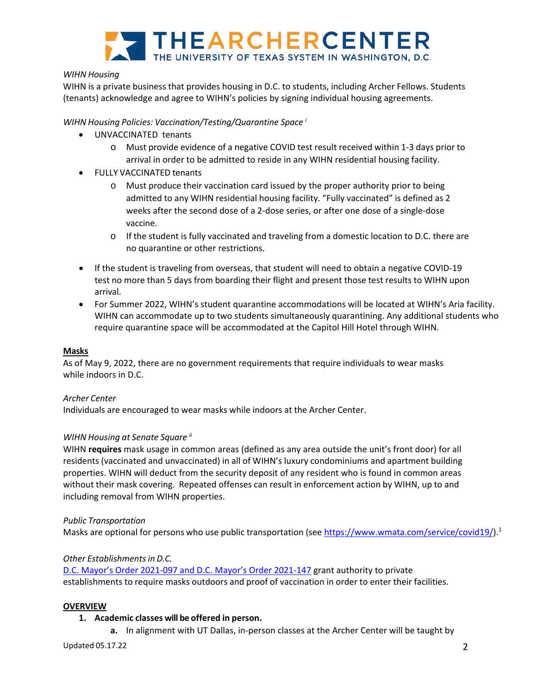

# *WIHN Housing*

WIHN is a private business that provides housing in D.C. to students, including Archer Fellows. Students (tenants) acknowledge and agree to WIHN's policies by signing individual housing agreements.

*WIHN Housing Policies: Vaccination/Testing/Quarantine Space <sup>i</sup>*

- UNVACCINATED tenants
	- o Must provide evidence of a negative COVID test result received within 1-3 days prior to arrival in order to be admitted to reside in any WIHN residential housing facility.
- FULLY VACCINATED tenants
	- o Must produce their vaccination card issued by the proper authority prior to being admitted to any WIHN residential housing facility. "Fully vaccinated" is defined as 2 weeks after the second dose of a 2-dose series, or after one dose of a single-dose vaccine.
	- o If the student is fully vaccinated and traveling from a domestic location to D.C. there are no quarantine or other restrictions.
- If the student is traveling from overseas, that student will need to obtain a negative COVID-19 test no more than 5 days from boarding their flight and present those test results to WIHN upon arrival.
- For Summer 2022, WIHN's student quarantine accommodations will be located at WIHN's Aria facility. WIHN can accommodate up to two students simultaneously quarantining. Any additional students who require quarantine space will be accommodated at the Capitol Hill Hotel through WIHN.

## **Masks**

As of May 9, 2022, there are no government requirements that require individuals to wear masks while indoors in D.C.

## *Archer Center*

Individuals are encouraged to wear masks while indoors at the Archer Center.

# *WIHN Housing at Senate Square [ii](#page-7-0)*

WIHN **requires** mask usage in common areas (defined as any area outside the unit's front door) for all residents (vaccinated and unvaccinated) in all of WIHN's luxury condominiums and apartment building properties. WIHN will deduct from the security deposit of any resident who is found in common areas without their mask covering. Repeated offenses can result in enforcement action by WIHN, up to and including removal from WIHN properties.

## *Public Transportation*

Masks are optional for persons who use public transportation (se[e https://www.wmata.com/service/covid19/\)](https://www.wmata.com/service/covid19/).<sup>1</sup>

## *Other Establishmentsin D.C.*

[D.C. Mayor's Order 2021-097 a](https://coronavirus.dc.gov/sites/default/files/dc/sites/coronavirus/page_content/attachments/Mayors-Order-2021-097.pdf)nd [D.C. Mayor's Order 2021-147](https://coronavirus.dc.gov/sites/default/files/dc/sites/coronavirus/page_content/attachments/2021-147%20Declaration%20of%20Public%20Emergency%3B%20Indoor%20Mask%20Requirements%3B%20Vaccination%20Requirements%20for%20DC%20Government%20Employees%3B%20etc.pdf) grant authority to private establishments to require masks outdoors and proof of vaccination in order to enter their facilities.

## **OVERVIEW**

## **1. Academic classes will be offered in person.**

**a.** In alignment with UT Dallas, in-person classes at the Archer Center will be taught by

Updated 05.17.22 2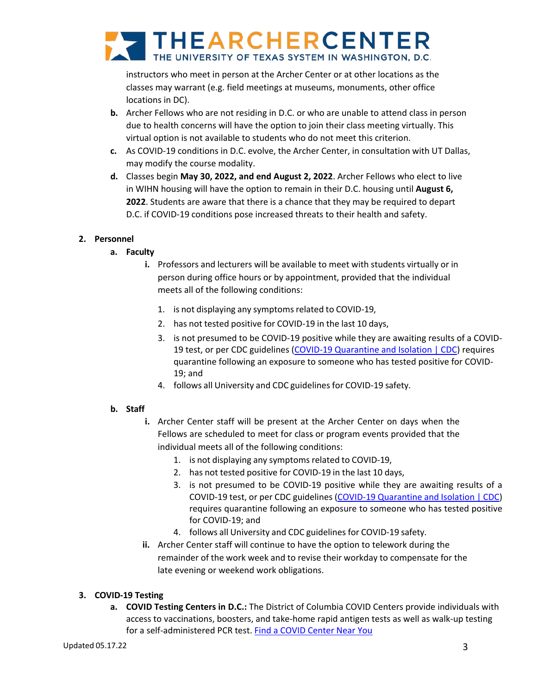

instructors who meet in person at the Archer Center or at other locations as the classes may warrant (e.g. field meetings at museums, monuments, other office locations in DC).

- **b.** Archer Fellows who are not residing in D.C. or who are unable to attend class in person due to health concerns will have the option to join their class meeting virtually. This virtual option is not available to students who do not meet this criterion.
- **c.** As COVID-19 conditions in D.C. evolve, the Archer Center, in consultation with UT Dallas, may modify the course modality.
- **d.** Classes begin **May 30, 2022, and end August 2, 2022**. Archer Fellows who elect to live in WIHN housing will have the option to remain in their D.C. housing until **August 6, 2022**. Students are aware that there is a chance that they may be required to depart D.C. if COVID-19 conditions pose increased threats to their health and safety.

# **2. Personnel**

- **a. Faculty**
	- **i.** Professors and lecturers will be available to meet with students virtually or in person during office hours or by appointment, provided that the individual meets all of the following conditions:
		- 1. is not displaying any symptoms related to COVID-19,
		- 2. has not tested positive for COVID-19 in the last 10 days,
		- 3. is not presumed to be COVID-19 positive while they are awaiting results of a COVID-19 test, or per CDC guidelines [\(COVID-19 Quarantine and Isolation | CDC\)](https://nam12.safelinks.protection.outlook.com/?url=https%3A%2F%2Fwww.cdc.gov%2Fcoronavirus%2F2019-ncov%2Fyour-health%2Fquarantine-isolation.html&data=05%7C01%7Cmchin%40utsystem.edu%7Ce41d90e3565741c59b6608da3847e08b%7C61399d5f249c44d0b271adc287f323ff%7C0%7C0%7C637884178610497614%7CUnknown%7CTWFpbGZsb3d8eyJWIjoiMC4wLjAwMDAiLCJQIjoiV2luMzIiLCJBTiI6Ik1haWwiLCJXVCI6Mn0%3D%7C3000%7C%7C%7C&sdata=JxQlGrtwbs%2FzEPA71bNleUr4l0BH5IaqBLZxpos%2By%2B4%3D&reserved=0) requires quarantine following an exposure to someone who has tested positive for COVID-19; and
		- 4. follows all University and CDC guidelines for COVID-19 safety.

## **b. Staff**

- **i.** Archer Center staff will be present at the Archer Center on days when the Fellows are scheduled to meet for class or program events provided that the individual meets all of the following conditions:
	- 1. is not displaying any symptomsrelated to COVID-19,
	- 2. has not tested positive for COVID-19 in the last 10 days,
	- 3. is not presumed to be COVID-19 positive while they are awaiting results of a COVID-19 test, or per CDC guidelines [\(COVID-19 Quarantine and Isolation | CDC\)](https://nam12.safelinks.protection.outlook.com/?url=https%3A%2F%2Fwww.cdc.gov%2Fcoronavirus%2F2019-ncov%2Fyour-health%2Fquarantine-isolation.html&data=05%7C01%7Cmchin%40utsystem.edu%7Ce41d90e3565741c59b6608da3847e08b%7C61399d5f249c44d0b271adc287f323ff%7C0%7C0%7C637884178610497614%7CUnknown%7CTWFpbGZsb3d8eyJWIjoiMC4wLjAwMDAiLCJQIjoiV2luMzIiLCJBTiI6Ik1haWwiLCJXVCI6Mn0%3D%7C3000%7C%7C%7C&sdata=JxQlGrtwbs%2FzEPA71bNleUr4l0BH5IaqBLZxpos%2By%2B4%3D&reserved=0) requires quarantine following an exposure to someone who has tested positive for COVID-19; and
	- 4. follows all University and CDC guidelines for COVID-19 safety.
- **ii.** Archer Center staff will continue to have the option to telework during the remainder of the work week and to revise their workday to compensate for the late evening or weekend work obligations.

# **3. COVID-19 Testing**

**a. COVID Testing Centers in D.C.:** The District of Columbia COVID Centers provide individuals with access to vaccinations, boosters, and take-home rapid antigen tests as well as walk-up testing for a self-administered PCR test. [Find a COVID Center Near You](https://coronavirus.dc.gov/covidcenters)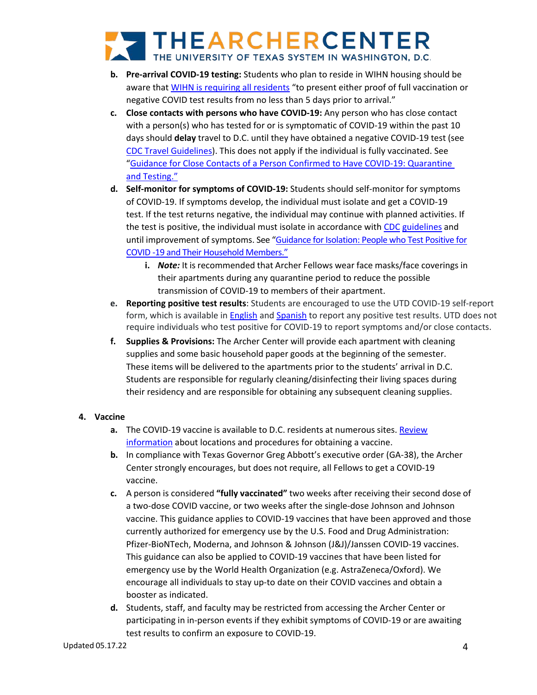# THEARCHERCENTER

- **b. Pre-arrival COVID-19 testing:** Students who plan to reside in WIHN housing should be aware that [WIHN is requiring](https://www.thewihn.com/covid-19) all residents ["to present either proof of full vaccination or](https://www.thewihn.com/covid-19)  [negative COVID test results from no less than 5 days prior to arrival."](https://www.thewihn.com/covid-19)
- **c. Close contacts with persons who have COVID-19:** Any person who has close contact with a person(s) who has tested for or is symptomatic of COVID-19 within the past 10 days should **delay** travel to D.C. until they have obtained a negative COVID-19 test (see [CDC Travel Guidelines\)](https://www.cdc.gov/coronavirus/2019-ncov/travelers/when-to-delay-travel.html). This does not apply if the individual is fully vaccinated. See ["Guidance for Close Contacts of a Person Confirmed to Have COVID-19: Quarantine](https://coronavirus.dc.gov/sites/default/files/dc/sites/coronavirus/page_content/attachments/Quarantine_DC_Health_COVID-19_Guidance_2022-4-7.pdf)  [and Testing."](https://coronavirus.dc.gov/sites/default/files/dc/sites/coronavirus/page_content/attachments/Quarantine_DC_Health_COVID-19_Guidance_2022-4-7.pdf)
- **d. Self-monitor for symptoms of COVID-19:** Students should self-monitor for symptoms of COVID-19. If symptoms develop, the individual must isolate and get a COVID-19 test. If the test returns negative, the individual may continue with planned activities. If the test is positive, the individual must isolate in accordance with [CDC](https://www.cdc.gov/coronavirus/2019-ncov/your-health/quarantine-isolation.html) [guidelines](https://www.cdc.gov/coronavirus/2019-ncov/your-health/quarantine-isolation.html) and until improvement of symptoms. See ["Guidance for Isolation: People who Test Positive for](https://coronavirus.dc.gov/sites/default/files/dc/sites/coronavirus/page_content/attachments/COVID-19_DC_Health_Isolation_Guidance_03-31-22_update.pdf)  [COVID -19 and Their Household Members."](https://coronavirus.dc.gov/sites/default/files/dc/sites/coronavirus/page_content/attachments/COVID-19_DC_Health_Isolation_Guidance_03-31-22_update.pdf)
	- **i.** *Note:* It is recommended that Archer Fellows wear face masks/face coverings in their apartments during any quarantine period to reduce the possible transmission of COVID-19 to members of their apartment.
- **e. Reporting positive test results**: Students are encouraged to use the UTD COVID-19 self-report form, which is available in **[English](https://veoci.com/v/p/form/v3r3ucpaya6h) and [Spanish](https://veoci.com/v/p/form/58qtxz5pwfkp)** to report any positive test results. UTD does not require individuals who test positive for COVID-19 to report symptoms and/or close contacts.
- **f. Supplies & Provisions:** The Archer Center will provide each apartment with cleaning supplies and some basic household paper goods at the beginning of the semester. These items will be delivered to the apartments prior to the students' arrival in D.C. Students are responsible for regularly cleaning/disinfecting their living spaces during their residency and are responsible for obtaining any subsequent cleaning supplies.

# **4. Vaccine**

- **a.** The COVID-19 vaccine is available to D.C. residents at numerous sites. [Review](https://coronavirus.dc.gov/page/get-vaccinated) [information](https://coronavirus.dc.gov/sites/default/files/dc/sites/coronavirus/page_content/attachments/Situational-Update-Presentation_04-26-21.pdf) about locations and procedures for obtaining a vaccine.
- **b.** In compliance with Texas Governor Greg Abbott's executive order (GA-38), the Archer Center strongly encourages, but does not require, all Fellows to get a COVID-19 vaccine.
- **c.** A person is considered **"fully vaccinated"** two weeks after receiving their second dose of a two-dose COVID vaccine, or two weeks after the single-dose Johnson and Johnson vaccine. This guidance applies to COVID-19 vaccines that have been approved and those currently authorized for emergency use by the U.S. Food and Drug Administration: Pfizer-BioNTech, Moderna, and Johnson & Johnson (J&J)/Janssen COVID-19 vaccines. This guidance can also be applied to COVID-19 vaccines that have been listed for emergency use by the World Health Organization (e.g. AstraZeneca/Oxford). We encourage all individuals to stay up-to date on their COVID vaccines and obtain a booster as indicated.
- **d.** Students, staff, and faculty may be restricted from accessing the Archer Center or participating in in-person events if they exhibit symptoms of COVID-19 or are awaiting test results to confirm an exposure to COVID-19.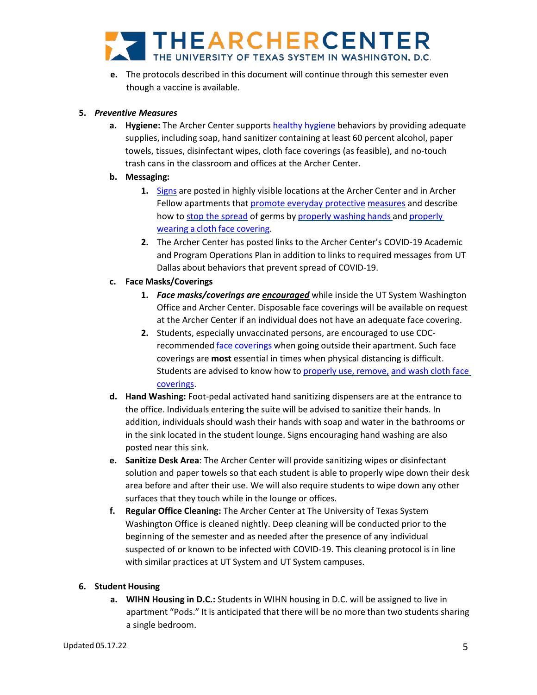

**e.** The protocols described in this document will continue through this semester even though a vaccine is available.

## **5.** *Preventive Measures*

**a. Hygiene:** The Archer Center supports [healthy hygiene](https://www.cdc.gov/handwashing/when-how-handwashing.html) behaviors by providing adequate supplies, including soap, hand sanitizer containing at least 60 percent alcohol, paper towels, tissues, disinfectant wipes, cloth face coverings (as feasible), and no-touch trash cans in the classroom and offices at the Archer Center.

# **b. Messaging:**

- **1.** [Signs](https://www.cdc.gov/coronavirus/2019-ncov/communication/print-resources.html?Sort=Date%3A%3Adesc) are posted in highly visible locations at the Archer Center and in Archer Fellow apartments that [promote everyday protective](https://www.cdc.gov/coronavirus/2019-ncov/prevent-getting-sick/prevention-H.pdf) [measures](https://www.cdc.gov/coronavirus/2019-ncov/prevent-getting-sick/prevention-H.pdf) and describe how to [stop the spread](https://www.cdc.gov/coronavirus/2019-ncov/downloads/stop-the-spread-of-germs-11x17-en.pdf) of germs by [properly](https://www.cdc.gov/coronavirus/2019-ncov/images/face-covering-checklist.jpg) washing hands and properly wearing a cloth face [covering.](https://www.cdc.gov/coronavirus/2019-ncov/images/face-covering-checklist.jpg)
- **2.** The Archer Center has posted links to the Archer Center's COVID-19 Academic and Program Operations Plan in addition to links to required messages from UT Dallas about behaviors that prevent spread of COVID-19.

# **c. Face Masks/Coverings**

- **1.** *Face masks/coverings are encouraged* while inside the UT System Washington Office and Archer Center. Disposable face coverings will be available on request at the Archer Center if an individual does not have an adequate face covering.
- **2.** Students, especially unvaccinated persons, are encouraged to use CDCrecommended face [coverings](https://www.cdc.gov/coronavirus/2019-ncov/prevent-getting-sick/diy-cloth-face-coverings.html) when going outside their apartment. Such face coverings are **most** essential in times when physical distancing is difficult. Students are advised to know how to [properly](https://www.cdc.gov/coronavirus/2019-ncov/prevent-getting-sick/diy-cloth-face-coverings.html) use, remove, and wash cloth face [coverings.](https://www.cdc.gov/coronavirus/2019-ncov/prevent-getting-sick/diy-cloth-face-coverings.html)
- **d. Hand Washing:** Foot-pedal activated hand sanitizing dispensers are at the entrance to the office. Individuals entering the suite will be advised to sanitize their hands. In addition, individuals should wash their hands with soap and water in the bathrooms or in the sink located in the student lounge. Signs encouraging hand washing are also posted near this sink.
- **e. Sanitize Desk Area**: The Archer Center will provide sanitizing wipes or disinfectant solution and paper towels so that each student is able to properly wipe down their desk area before and after their use. We will also require students to wipe down any other surfaces that they touch while in the lounge or offices.
- **f. Regular Office Cleaning:** The Archer Center at The University of Texas System Washington Office is cleaned nightly. Deep cleaning will be conducted prior to the beginning of the semester and as needed after the presence of any individual suspected of or known to be infected with COVID-19. This cleaning protocol is in line with similar practices at UT System and UT System campuses.

## **6. Student Housing**

**a. WIHN Housing in D.C.:** Students in WIHN housing in D.C. will be assigned to live in apartment "Pods." It is anticipated that there will be no more than two students sharing a single bedroom.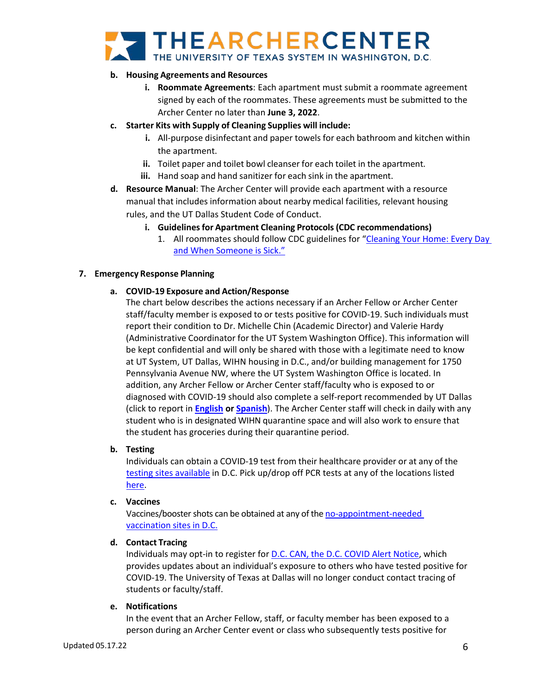# THEARCHERCENTER

# **b. Housing Agreements and Resources**

- **i. Roommate Agreements**: Each apartment must submit a roommate agreement signed by each of the roommates. These agreements must be submitted to the Archer Center no later than **June 3, 2022**.
- **c. Starter Kits with Supply of Cleaning Supplies will include:**
	- **i.** All-purpose disinfectant and paper towels for each bathroom and kitchen within the apartment.
	- **ii.** Toilet paper and toilet bowl cleanser for each toilet in the apartment.
	- **iii.** Hand soap and hand sanitizer for each sink in the apartment.
- **d. Resource Manual**: The Archer Center will provide each apartment with a resource manual that includes information about nearby medical facilities, relevant housing rules, and the UT Dallas Student Code of Conduct.
	- **i.** Guidelines for Apartment Cleaning Protocols (CDC recommendations)
		- 1. All roommates should follow CDC guidelines for "Cleaning Your Home: Every Day [and When Someone is Sick."](https://www.cdc.gov/coronavirus/2019-ncov/prevent-getting-sick/disinfecting-your-home.html)

## **7. Emergency Response Planning**

# **a. COVID-19 Exposure and Action/Response**

The chart below describes the actions necessary if an Archer Fellow or Archer Center staff/faculty member is exposed to or tests positive for COVID-19. Such individuals must report their condition to Dr. Michelle Chin (Academic Director) and Valerie Hardy (Administrative Coordinator for the UT System Washington Office). This information will be kept confidential and will only be shared with those with a legitimate need to know at UT System, UT Dallas, WIHN housing in D.C., and/or building management for 1750 Pennsylvania Avenue NW, where the UT System Washington Office is located. In addition, any Archer Fellow or Archer Center staff/faculty who is exposed to or diagnosed with COVID-19 should also complete a self-report recommended by UT Dallas (click to report in **[English](https://veoci.com/v/p/form/v3r3ucpaya6h) or [Spanish](https://veoci.com/v/p/form/58qtxz5pwfkp)**). The Archer Center staff will check in daily with any student who is in designated WIHN quarantine space and will also work to ensure that the student has groceries during their quarantine period.

## **b. Testing**

Individuals can obtain a COVID-19 test from their healthcare provider or at any of the [testing sites available](https://coronavirus.dc.gov/testing) in D.C. Pick up/drop off PCR tests at any of the locations listed [here.](https://coronavirus.dc.gov/testyourself)

## **c. Vaccines**

Vaccines/booster shots can be obtained at any of th[e no-appointment-needed](https://coronavirus.dc.gov/page/get-vaccinated) [vaccination](https://coronavirus.dc.gov/page/get-vaccinated) sites in D.C.

## **d. Contact Tracing**

Individuals may opt-in to register for D.C. CAN, the D.C. [COVID Alert Notice,](https://coronavirus.dc.gov/dccan) which provides updates about an individual's exposure to others who have tested positive for COVID-19. The University of Texas at Dallas will no longer conduct contact tracing of students or faculty/staff.

## **e. Notifications**

In the event that an Archer Fellow, staff, or faculty member has been exposed to a person during an Archer Center event or class who subsequently tests positive for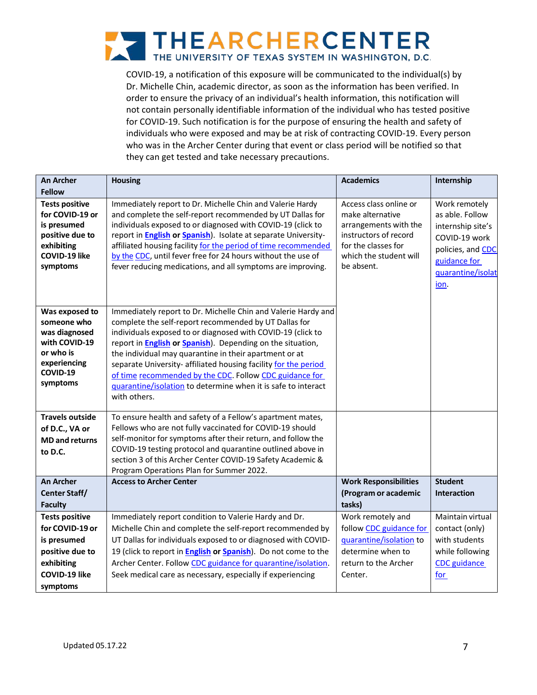

COVID-19, a notification of this exposure will be communicated to the individual(s) by Dr. Michelle Chin, academic director, as soon as the information has been verified. In order to ensure the privacy of an individual's health information, this notification will not contain personally identifiable information of the individual who has tested positive for COVID-19. Such notification is for the purpose of ensuring the health and safety of individuals who were exposed and may be at risk of contracting COVID-19. Every person who was in the Archer Center during that event or class period will be notified so that they can get tested and take necessary precautions.

| <b>An Archer</b><br><b>Fellow</b>                                                                                     | <b>Housing</b>                                                                                                                                                                                                                                                                                                                                                                                                                                                                                                                       | <b>Academics</b>                                                                                                                                            | Internship                                                                                                                               |
|-----------------------------------------------------------------------------------------------------------------------|--------------------------------------------------------------------------------------------------------------------------------------------------------------------------------------------------------------------------------------------------------------------------------------------------------------------------------------------------------------------------------------------------------------------------------------------------------------------------------------------------------------------------------------|-------------------------------------------------------------------------------------------------------------------------------------------------------------|------------------------------------------------------------------------------------------------------------------------------------------|
| <b>Tests positive</b><br>for COVID-19 or<br>is presumed<br>positive due to<br>exhibiting<br>COVID-19 like<br>symptoms | Immediately report to Dr. Michelle Chin and Valerie Hardy<br>and complete the self-report recommended by UT Dallas for<br>individuals exposed to or diagnosed with COVID-19 (click to<br>report in English or Spanish). Isolate at separate University-<br>affiliated housing facility for the period of time recommended<br>by the CDC, until fever free for 24 hours without the use of<br>fever reducing medications, and all symptoms are improving.                                                                             | Access class online or<br>make alternative<br>arrangements with the<br>instructors of record<br>for the classes for<br>which the student will<br>be absent. | Work remotely<br>as able. Follow<br>internship site's<br>COVID-19 work<br>policies, and CDC<br>guidance for<br>quarantine/isolat<br>ion. |
| Was exposed to<br>someone who<br>was diagnosed<br>with COVID-19<br>or who is<br>experiencing<br>COVID-19<br>symptoms  | Immediately report to Dr. Michelle Chin and Valerie Hardy and<br>complete the self-report recommended by UT Dallas for<br>individuals exposed to or diagnosed with COVID-19 (click to<br>report in <b>English or Spanish</b> ). Depending on the situation,<br>the individual may quarantine in their apartment or at<br>separate University- affiliated housing facility for the period<br>of time recommended by the CDC. Follow CDC guidance for<br>guarantine/isolation to determine when it is safe to interact<br>with others. |                                                                                                                                                             |                                                                                                                                          |
| <b>Travels outside</b><br>of D.C., VA or<br><b>MD</b> and returns<br>to D.C.                                          | To ensure health and safety of a Fellow's apartment mates,<br>Fellows who are not fully vaccinated for COVID-19 should<br>self-monitor for symptoms after their return, and follow the<br>COVID-19 testing protocol and quarantine outlined above in<br>section 3 of this Archer Center COVID-19 Safety Academic &<br>Program Operations Plan for Summer 2022.                                                                                                                                                                       |                                                                                                                                                             |                                                                                                                                          |
| <b>An Archer</b><br><b>Center Staff/</b><br><b>Faculty</b>                                                            | <b>Access to Archer Center</b>                                                                                                                                                                                                                                                                                                                                                                                                                                                                                                       | <b>Work Responsibilities</b><br>(Program or academic<br>tasks)                                                                                              | <b>Student</b><br><b>Interaction</b>                                                                                                     |
| <b>Tests positive</b><br>for COVID-19 or<br>is presumed<br>positive due to<br>exhibiting<br>COVID-19 like<br>symptoms | Immediately report condition to Valerie Hardy and Dr.<br>Michelle Chin and complete the self-report recommended by<br>UT Dallas for individuals exposed to or diagnosed with COVID-<br>19 (click to report in <b>English or Spanish</b> ). Do not come to the<br>Archer Center. Follow CDC guidance for quarantine/isolation.<br>Seek medical care as necessary, especially if experiencing                                                                                                                                          | Work remotely and<br>follow CDC guidance for<br>quarantine/isolation to<br>determine when to<br>return to the Archer<br>Center.                             | Maintain virtual<br>contact (only)<br>with students<br>while following<br><b>CDC</b> guidance<br><u>for</u>                              |